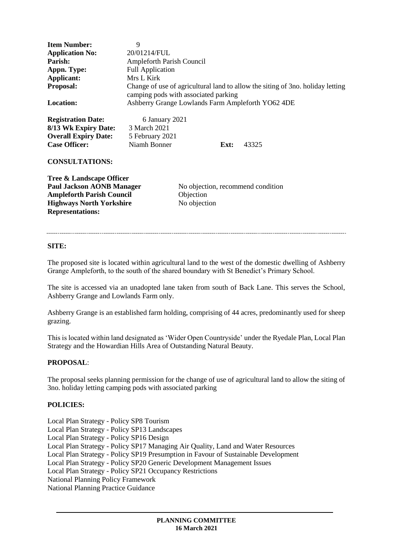| <b>Item Number:</b><br><b>Application No:</b><br>Parish:<br>Appn. Type:<br>Applicant:<br>Proposal:<br><b>Location:</b>                                         | 9<br>20/01214/FUL<br><b>Ampleforth Parish Council</b><br><b>Full Application</b><br>Mrs L Kirk<br>Change of use of agricultural land to allow the siting of 3no. holiday letting<br>camping pods with associated parking<br>Ashberry Grange Lowlands Farm Ampleforth YO62 4DE |                           |      |                                   |
|----------------------------------------------------------------------------------------------------------------------------------------------------------------|-------------------------------------------------------------------------------------------------------------------------------------------------------------------------------------------------------------------------------------------------------------------------------|---------------------------|------|-----------------------------------|
| <b>Registration Date:</b><br>8/13 Wk Expiry Date:<br><b>Overall Expiry Date:</b><br><b>Case Officer:</b><br><b>CONSULTATIONS:</b>                              | 6 January 2021<br>3 March 2021<br>5 February 2021<br>Niamh Bonner                                                                                                                                                                                                             |                           | Ext: | 43325                             |
| Tree & Landscape Officer<br><b>Paul Jackson AONB Manager</b><br><b>Ampleforth Parish Council</b><br><b>Highways North Yorkshire</b><br><b>Representations:</b> |                                                                                                                                                                                                                                                                               | Objection<br>No objection |      | No objection, recommend condition |

### **SITE:**

The proposed site is located within agricultural land to the west of the domestic dwelling of Ashberry Grange Ampleforth, to the south of the shared boundary with St Benedict's Primary School.

The site is accessed via an unadopted lane taken from south of Back Lane. This serves the School, Ashberry Grange and Lowlands Farm only.

Ashberry Grange is an established farm holding, comprising of 44 acres, predominantly used for sheep grazing.

This is located within land designated as 'Wider Open Countryside' under the Ryedale Plan, Local Plan Strategy and the Howardian Hills Area of Outstanding Natural Beauty.

### **PROPOSAL**:

The proposal seeks planning permission for the change of use of agricultural land to allow the siting of 3no. holiday letting camping pods with associated parking

### **POLICIES:**

Local Plan Strategy - Policy SP8 Tourism Local Plan Strategy - Policy SP13 Landscapes Local Plan Strategy - Policy SP16 Design Local Plan Strategy - Policy SP17 Managing Air Quality, Land and Water Resources Local Plan Strategy - Policy SP19 Presumption in Favour of Sustainable Development Local Plan Strategy - Policy SP20 Generic Development Management Issues Local Plan Strategy - Policy SP21 Occupancy Restrictions National Planning Policy Framework National Planning Practice Guidance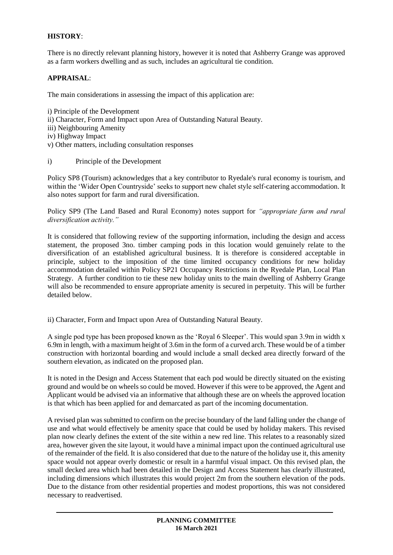# **HISTORY**:

There is no directly relevant planning history, however it is noted that Ashberry Grange was approved as a farm workers dwelling and as such, includes an agricultural tie condition.

### **APPRAISAL**:

The main considerations in assessing the impact of this application are:

- i) Principle of the Development ii) Character, Form and Impact upon Area of Outstanding Natural Beauty. iii) Neighbouring Amenity iv) Highway Impact v) Other matters, including consultation responses
- i) Principle of the Development

Policy SP8 (Tourism) acknowledges that a key contributor to Ryedale's rural economy is tourism, and within the 'Wider Open Countryside' seeks to support new chalet style self-catering accommodation. It also notes support for farm and rural diversification.

Policy SP9 (The Land Based and Rural Economy) notes support for *"appropriate farm and rural diversification activity."*

It is considered that following review of the supporting information, including the design and access statement, the proposed 3no. timber camping pods in this location would genuinely relate to the diversification of an established agricultural business. It is therefore is considered acceptable in principle, subject to the imposition of the time limited occupancy conditions for new holiday accommodation detailed within Policy SP21 Occupancy Restrictions in the Ryedale Plan, Local Plan Strategy. A further condition to tie these new holiday units to the main dwelling of Ashberry Grange will also be recommended to ensure appropriate amenity is secured in perpetuity. This will be further detailed below.

ii) Character, Form and Impact upon Area of Outstanding Natural Beauty.

A single pod type has been proposed known as the 'Royal 6 Sleeper'. This would span 3.9m in width x 6.9m in length, with a maximum height of 3.6m in the form of a curved arch. These would be of a timber construction with horizontal boarding and would include a small decked area directly forward of the southern elevation, as indicated on the proposed plan.

It is noted in the Design and Access Statement that each pod would be directly situated on the existing ground and would be on wheels so could be moved. However if this were to be approved, the Agent and Applicant would be advised via an informative that although these are on wheels the approved location is that which has been applied for and demarcated as part of the incoming documentation.

A revised plan was submitted to confirm on the precise boundary of the land falling under the change of use and what would effectively be amenity space that could be used by holiday makers. This revised plan now clearly defines the extent of the site within a new red line. This relates to a reasonably sized area, however given the site layout, it would have a minimal impact upon the continued agricultural use of the remainder of the field. It is also considered that due to the nature of the holiday use it, this amenity space would not appear overly domestic or result in a harmful visual impact. On this revised plan, the small decked area which had been detailed in the Design and Access Statement has clearly illustrated, including dimensions which illustrates this would project 2m from the southern elevation of the pods. Due to the distance from other residential properties and modest proportions, this was not considered necessary to readvertised.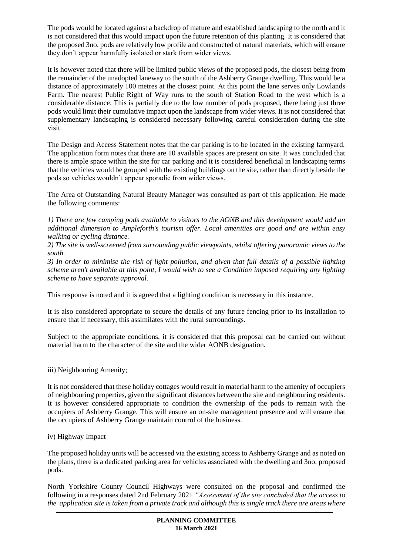The pods would be located against a backdrop of mature and established landscaping to the north and it is not considered that this would impact upon the future retention of this planting. It is considered that the proposed 3no. pods are relatively low profile and constructed of natural materials, which will ensure they don't appear harmfully isolated or stark from wider views.

It is however noted that there will be limited public views of the proposed pods, the closest being from the remainder of the unadopted laneway to the south of the Ashberry Grange dwelling. This would be a distance of approximately 100 metres at the closest point. At this point the lane serves only Lowlands Farm. The nearest Public Right of Way runs to the south of Station Road to the west which is a considerable distance. This is partially due to the low number of pods proposed, there being just three pods would limit their cumulative impact upon the landscape from wider views. It is not considered that supplementary landscaping is considered necessary following careful consideration during the site visit.

The Design and Access Statement notes that the car parking is to be located in the existing farmyard. The application form notes that there are 10 available spaces are present on site. It was concluded that there is ample space within the site for car parking and it is considered beneficial in landscaping terms that the vehicles would be grouped with the existing buildings on the site, rather than directly beside the pods so vehicles wouldn't appear sporadic from wider views.

The Area of Outstanding Natural Beauty Manager was consulted as part of this application. He made the following comments:

*1) There are few camping pods available to visitors to the AONB and this development would add an additional dimension to Ampleforth's tourism offer. Local amenities are good and are within easy walking or cycling distance.*

*2) The site is well-screened from surrounding public viewpoints, whilst offering panoramic views to the south.*

*3) In order to minimise the risk of light pollution, and given that full details of a possible lighting scheme aren't available at this point, I would wish to see a Condition imposed requiring any lighting scheme to have separate approval.*

This response is noted and it is agreed that a lighting condition is necessary in this instance.

It is also considered appropriate to secure the details of any future fencing prior to its installation to ensure that if necessary, this assimilates with the rural surroundings.

Subject to the appropriate conditions, it is considered that this proposal can be carried out without material harm to the character of the site and the wider AONB designation.

iii) Neighbouring Amenity;

It is not considered that these holiday cottages would result in material harm to the amenity of occupiers of neighbouring properties, given the significant distances between the site and neighbouring residents. It is however considered appropriate to condition the ownership of the pods to remain with the occupiers of Ashberry Grange. This will ensure an on-site management presence and will ensure that the occupiers of Ashberry Grange maintain control of the business.

iv) Highway Impact

The proposed holiday units will be accessed via the existing access to Ashberry Grange and as noted on the plans, there is a dedicated parking area for vehicles associated with the dwelling and 3no. proposed pods.

North Yorkshire County Council Highways were consulted on the proposal and confirmed the following in a responses dated 2nd February 2021 *"Assessment of the site concluded that the access to the application site is taken from a private track and although this is single track there are areas where*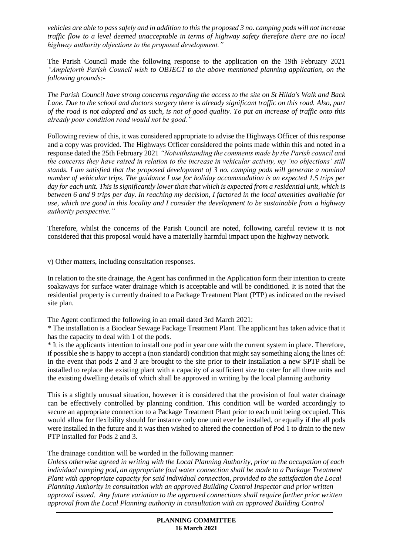*vehicles are able to pass safely and in addition to this the proposed 3 no. camping pods will not increase traffic flow to a level deemed unacceptable in terms of highway safety therefore there are no local highway authority objections to the proposed development."*

The Parish Council made the following response to the application on the 19th February 2021 *"Ampleforth Parish Council wish to OBJECT to the above mentioned planning application, on the following grounds:-*

*The Parish Council have strong concerns regarding the access to the site on St Hilda's Walk and Back Lane. Due to the school and doctors surgery there is already significant traffic on this road. Also, part of the road is not adopted and as such, is not of good quality. To put an increase of traffic onto this already poor condition road would not be good."*

Following review of this, it was considered appropriate to advise the Highways Officer of this response and a copy was provided. The Highways Officer considered the points made within this and noted in a response dated the 25th February 2021 *"Notwithstanding the comments made by the Parish council and the concerns they have raised in relation to the increase in vehicular activity, my 'no objections' still stands. I am satisfied that the proposed development of 3 no. camping pods will generate a nominal number of vehicular trips. The guidance I use for holiday accommodation is an expected 1.5 trips per day for each unit. This is significantly lower than that which is expected from a residential unit, which is between 6 and 9 trips per day. In reaching my decision, I factored in the local amenities available for use, which are good in this locality and I consider the development to be sustainable from a highway authority perspective."*

Therefore, whilst the concerns of the Parish Council are noted, following careful review it is not considered that this proposal would have a materially harmful impact upon the highway network.

v) Other matters, including consultation responses.

In relation to the site drainage, the Agent has confirmed in the Application form their intention to create soakaways for surface water drainage which is acceptable and will be conditioned. It is noted that the residential property is currently drained to a Package Treatment Plant (PTP) as indicated on the revised site plan.

The Agent confirmed the following in an email dated 3rd March 2021:

\* The installation is a Bioclear Sewage Package Treatment Plant. The applicant has taken advice that it has the capacity to deal with 1 of the pods.

\* It is the applicants intention to install one pod in year one with the current system in place. Therefore, if possible she is happy to accept a (non standard) condition that might say something along the lines of: In the event that pods 2 and 3 are brought to the site prior to their installation a new SPTP shall be installed to replace the existing plant with a capacity of a sufficient size to cater for all three units and the existing dwelling details of which shall be approved in writing by the local planning authority

This is a slightly unusual situation, however it is considered that the provision of foul water drainage can be effectively controlled by planning condition. This condition will be worded accordingly to secure an appropriate connection to a Package Treatment Plant prior to each unit being occupied. This would allow for flexibility should for instance only one unit ever be installed, or equally if the all pods were installed in the future and it was then wished to altered the connection of Pod 1 to drain to the new PTP installed for Pods 2 and 3.

The drainage condition will be worded in the following manner:

*Unless otherwise agreed in writing with the Local Planning Authority, prior to the occupation of each individual camping pod, an appropriate foul water connection shall be made to a Package Treatment Plant with appropriate capacity for said individual connection, provided to the satisfaction the Local Planning Authority in consultation with an approved Building Control Inspector and prior written approval issued. Any future variation to the approved connections shall require further prior written approval from the Local Planning authority in consultation with an approved Building Control*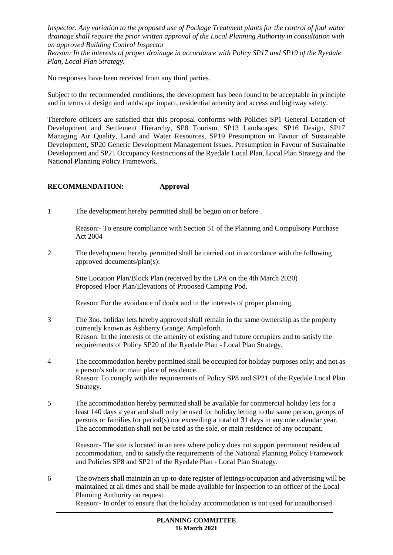*Inspector. Any variation to the proposed use of Package Treatment plants for the control of foul water drainage shall require the prior written approval of the Local Planning Authority in consultation with an approved Building Control Inspector*

*Reason: In the interests of proper drainage in accordance with Policy SP17 and SP19 of the Ryedale Plan, Local Plan Strategy.*

No responses have been received from any third parties.

Subject to the recommended conditions, the development has been found to be acceptable in principle and in terms of design and landscape impact, residential amenity and access and highway safety.

Therefore officers are satisfied that this proposal conforms with Policies SP1 General Location of Development and Settlement Hierarchy, SP8 Tourism, SP13 Landscapes, SP16 Design, SP17 Managing Air Quality, Land and Water Resources, SP19 Presumption in Favour of Sustainable Development, SP20 Generic Development Management Issues, Presumption in Favour of Sustainable Development and SP21 Occupancy Restrictions of the Ryedale Local Plan, Local Plan Strategy and the National Planning Policy Framework.

## **RECOMMENDATION: Approval**

1 The development hereby permitted shall be begun on or before .

Reason:- To ensure compliance with Section 51 of the Planning and Compulsory Purchase Act 2004

2 The development hereby permitted shall be carried out in accordance with the following approved documents/plan(s):

Site Location Plan/Block Plan (received by the LPA on the 4th March 2020) Proposed Floor Plan/Elevations of Proposed Camping Pod.

Reason: For the avoidance of doubt and in the interests of proper planning.

- 3 The 3no. holiday lets hereby approved shall remain in the same ownership as the property currently known as Ashberry Grange, Ampleforth. Reason: In the interests of the amenity of existing and future occupiers and to satisfy the requirements of Policy SP20 of the Ryedale Plan - Local Plan Strategy.
- 4 The accommodation hereby permitted shall be occupied for holiday purposes only; and not as a person's sole or main place of residence. Reason: To comply with the requirements of Policy SP8 and SP21 of the Ryedale Local Plan Strategy.
- 5 The accommodation hereby permitted shall be available for commercial holiday lets for a least 140 days a year and shall only be used for holiday letting to the same person, groups of persons or families for period(s) not exceeding a total of 31 days in any one calendar year. The accommodation shall not be used as the sole, or main residence of any occupant.

Reason:- The site is located in an area where policy does not support permanent residential accommodation, and to satisfy the requirements of the National Planning Policy Framework and Policies SP8 and SP21 of the Ryedale Plan - Local Plan Strategy.

6 The owners shall maintain an up-to-date register of lettings/occupation and advertising will be maintained at all times and shall be made available for inspection to an officer of the Local Planning Authority on request. Reason:- In order to ensure that the holiday accommodation is not used for unauthorised